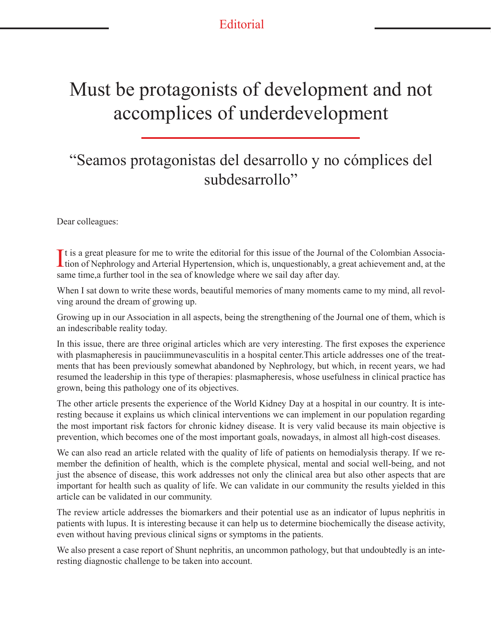$L$ u. Colombia **Editorial** 

## Must be protagonists of development and not accomplices of underdevelopment

## "Seamos protagonistas del desarrollo y no cómplices del subdesarrollo"

Dear colleagues:

It is a great pleasure for me to write the editorial for this issue of the Journal of the Colombian Association of Nephrology and Arterial Hypertension, which is, unquestionably, a great achievement and, at the It is a great pleasure for me to write the editorial for this issue of the Journal of the Colombian Associasame time,a further tool in the sea of knowledge where we sail day after day.

When I sat down to write these words, beautiful memories of many moments came to my mind, all revolving around the dream of growing up.

Growing up in our Association in all aspects, being the strengthening of the Journal one of them, which is an indescribable reality today.

In this issue, there are three original articles which are very interesting. The first exposes the experience with plasmapheresis in pauciimmunevasculitis in a hospital center.This article addresses one of the treatments that has been previously somewhat abandoned by Nephrology, but which, in recent years, we had resumed the leadership in this type of therapies: plasmapheresis, whose usefulness in clinical practice has grown, being this pathology one of its objectives.

The other article presents the experience of the World Kidney Day at a hospital in our country. It is interesting because it explains us which clinical interventions we can implement in our population regarding the most important risk factors for chronic kidney disease. It is very valid because its main objective is prevention, which becomes one of the most important goals, nowadays, in almost all high-cost diseases.

We can also read an article related with the quality of life of patients on hemodialysis therapy. If we remember the definition of health, which is the complete physical, mental and social well-being, and not just the absence of disease, this work addresses not only the clinical area but also other aspects that are important for health such as quality of life. We can validate in our community the results yielded in this article can be validated in our community.

The review article addresses the biomarkers and their potential use as an indicator of lupus nephritis in patients with lupus. It is interesting because it can help us to determine biochemically the disease activity, even without having previous clinical signs or symptoms in the patients.

We also present a case report of Shunt nephritis, an uncommon pathology, but that undoubtedly is an interesting diagnostic challenge to be taken into account.